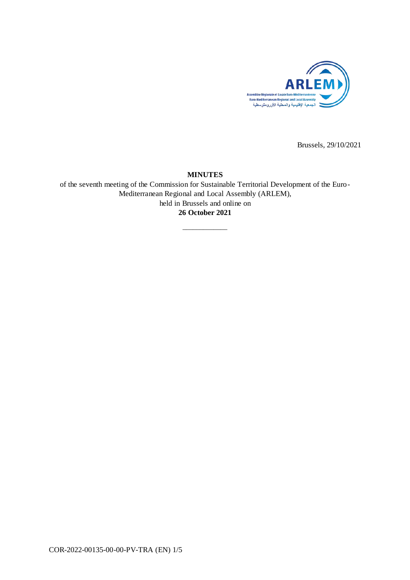

Brussels, 29/10/2021

## **MINUTES**

of the seventh meeting of the Commission for Sustainable Territorial Development of the Euro-Mediterranean Regional and Local Assembly (ARLEM), held in Brussels and online on **26 October 2021**

\_\_\_\_\_\_\_\_\_\_\_\_\_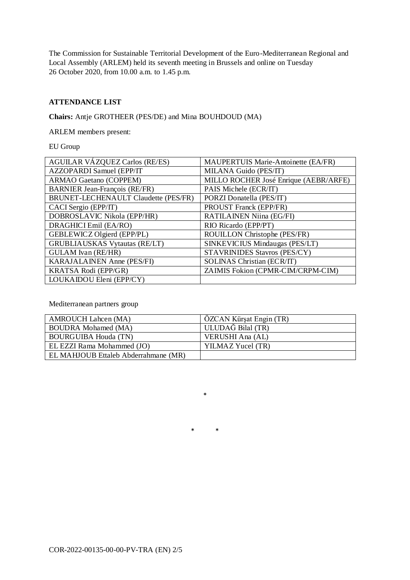The Commission for Sustainable Territorial Development of the Euro-Mediterranean Regional and Local Assembly (ARLEM) held its seventh meeting in Brussels and online on Tuesday 26 October 2020, from 10.00 a.m. to 1.45 p.m.

# **ATTENDANCE LIST**

**Chairs:** Antje GROTHEER (PES/DE) and Mina BOUHDOUD (MA)

ARLEM members present:

EU Group

| <b>AGUILAR VÁZQUEZ Carlos (RE/ES)</b>       | MAUPERTUIS Marie-Antoinette (EA/FR)   |
|---------------------------------------------|---------------------------------------|
| AZZOPARDI Samuel (EPP/IT                    | MILANA Guido (PES/IT)                 |
| <b>ARMAO Gaetano (COPPEM)</b>               | MILLO ROCHER José Enrique (AEBR/ARFE) |
| <b>BARNIER Jean-François (RE/FR)</b>        | PAIS Michele (ECR/IT)                 |
| <b>BRUNET-LECHENAULT Claudette (PES/FR)</b> | PORZI Donatella (PES/IT)              |
| CACI Sergio (EPP/IT)                        | PROUST Franck (EPP/FR)                |
| DOBROSLAVIC Nikola (EPP/HR)                 | <b>RATILAINEN Niina (EG/FI)</b>       |
| DRAGHICI Emil (EA/RO)                       | RIO Ricardo (EPP/PT)                  |
| GEBLEWICZ Olgierd (EPP/PL)                  | ROUILLON Christophe (PES/FR)          |
| <b>GRUBLIAUSKAS Vytautas (RE/LT)</b>        | SINKEVICIUS Mindaugas (PES/LT)        |
| <b>GULAM</b> Ivan (RE/HR)                   | <b>STAVRINIDES Stavros (PES/CY)</b>   |
| KARAJALAINEN Anne (PES/FI)                  | <b>SOLINAS Christian (ECR/IT)</b>     |
| KRATSA Rodi (EPP/GR)                        | ZAIMIS Fokion (CPMR-CIM/CRPM-CIM)     |
| LOUKAIDOU Eleni (EPP/CY)                    |                                       |

Mediterranean partners group

| <b>AMROUCH Lahcen (MA)</b>           | ÖZCAN Kürşat Engin (TR) |
|--------------------------------------|-------------------------|
| <b>BOUDRA</b> Mohamed (MA)           | ULUDAĞ Bilal (TR)       |
| <b>BOURGUIBA Houda (TN)</b>          | VERUSHI Ana (AL)        |
| EL EZZI Rama Mohammed (JO)           | YILMAZ Yucel (TR)       |
| EL MAHJOUB Ettaleb Abderrahmane (MR) |                         |

\* \*

\*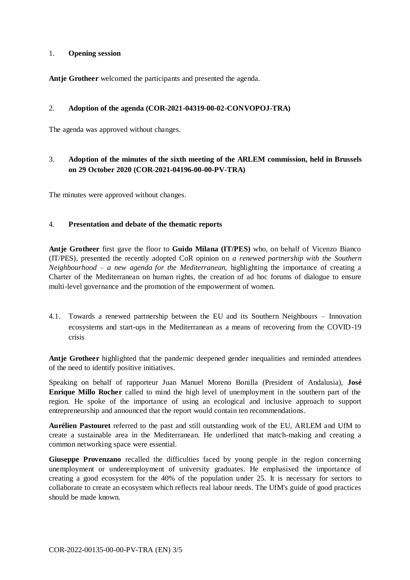## 1. **Opening session**

**Antje Grotheer** welcomed the participants and presented the agenda.

#### 2. **Adoption of the agenda (COR-2021-04319-00-02-CONVOPOJ-TRA)**

The agenda was approved without changes.

# 3. **Adoption of the minutes of the sixth meeting of the ARLEM commission, held in Brussels on 29 October 2020 (COR-2021-04196-00-00-PV-TRA)**

The minutes were approved without changes.

## 4. **Presentation and debate of the thematic reports**

**Antje Grotheer** first gave the floor to **Guido Milana (IT/PES)** who, on behalf of Vicenzo Bianco (IT/PES), presented the recently adopted CoR opinion on *a renewed partnership with the Southern Neighbourhood – a new agenda for the Mediterranean,* highlighting the importance of creating a Charter of the Mediterranean on human rights, the creation of ad hoc forums of dialogue to ensure multi-level governance and the promotion of the empowerment of women.

4.1. Towards a renewed partnership between the EU and its Southern Neighbours – Innovation ecosystems and start-ups in the Mediterranean as a means of recovering from the COVID-19 crisis

**Antje Grotheer** highlighted that the pandemic deepened gender inequalities and reminded attendees of the need to identify positive initiatives.

Speaking on behalf of rapporteur Juan Manuel Moreno Bonilla (President of Andalusia), **José Enrique Millo Rocher** called to mind the high level of unemployment in the southern part of the region. He spoke of the importance of using an ecological and inclusive approach to support entrepreneurship and announced that the report would contain ten recommendations.

**Aurélien Pastouret** referred to the past and still outstanding work of the EU, ARLEM and UfM to create a sustainable area in the Mediterranean. He underlined that match-making and creating a common networking space were essential.

**Giuseppe Provenzano** recalled the difficulties faced by young people in the region concerning unemployment or underemployment of university graduates. He emphasised the importance of creating a good ecosystem for the 40% of the population under 25. It is necessary for sectors to collaborate to create an ecosystem which reflects real labour needs. The UfM's guide of good practices should be made known.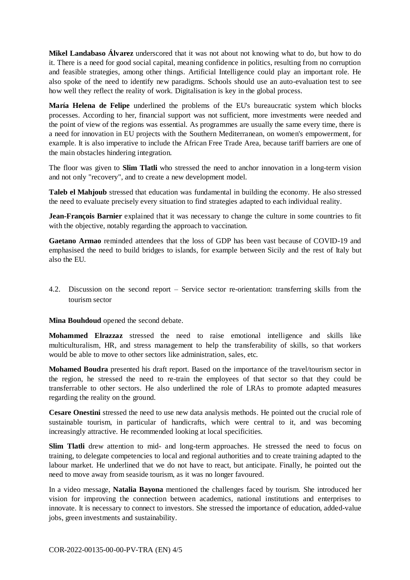**Mikel Landabaso Álvarez** underscored that it was not about not knowing what to do, but how to do it. There is a need for good social capital, meaning confidence in politics, resulting from no corruption and feasible strategies, among other things. Artificial Intelligence could play an important role. He also spoke of the need to identify new paradigms. Schools should use an auto-evaluation test to see how well they reflect the reality of work. Digitalisation is key in the global process.

**María Helena de Felipe** underlined the problems of the EU's bureaucratic system which blocks processes. According to her, financial support was not sufficient, more investments were needed and the point of view of the regions was essential. As programmes are usually the same every time, there is a need for innovation in EU projects with the Southern Mediterranean, on women's empowerment, for example. It is also imperative to include the African Free Trade Area, because tariff barriers are one of the main obstacles hindering integration.

The floor was given to **Slim Tlatli** who stressed the need to anchor innovation in a long-term vision and not only "recovery", and to create a new development model.

**Taleb el Mahjoub** stressed that education was fundamental in building the economy. He also stressed the need to evaluate precisely every situation to find strategies adapted to each individual reality.

**Jean-François Barnier** explained that it was necessary to change the culture in some countries to fit with the objective, notably regarding the approach to vaccination.

Gaetano Armao reminded attendees that the loss of GDP has been vast because of COVID-19 and emphasised the need to build bridges to islands, for example between Sicily and the rest of Italy but also the EU.

4.2. Discussion on the second report – Service sector re-orientation: transferring skills from the tourism sector

**Mina Bouhdoud** opened the second debate.

**Mohammed Elrazzaz** stressed the need to raise emotional intelligence and skills like multiculturalism, HR, and stress management to help the transferability of skills, so that workers would be able to move to other sectors like administration, sales, etc.

**Mohamed Boudra** presented his draft report. Based on the importance of the travel/tourism sector in the region, he stressed the need to re-train the employees of that sector so that they could be transferrable to other sectors. He also underlined the role of LRAs to promote adapted measures regarding the reality on the ground.

**Cesare Onestini** stressed the need to use new data analysis methods. He pointed out the crucial role of sustainable tourism, in particular of handicrafts, which were central to it, and was becoming increasingly attractive. He recommended looking at local specificities.

**Slim Tlatli** drew attention to mid- and long-term approaches. He stressed the need to focus on training, to delegate competencies to local and regional authorities and to create training adapted to the labour market. He underlined that we do not have to react, but anticipate. Finally, he pointed out the need to move away from seaside tourism, as it was no longer favoured.

In a video message, **Natalia Bayona** mentioned the challenges faced by tourism. She introduced her vision for improving the connection between academics, national institutions and enterprises to innovate. It is necessary to connect to investors. She stressed the importance of education, added-value jobs, green investments and sustainability.